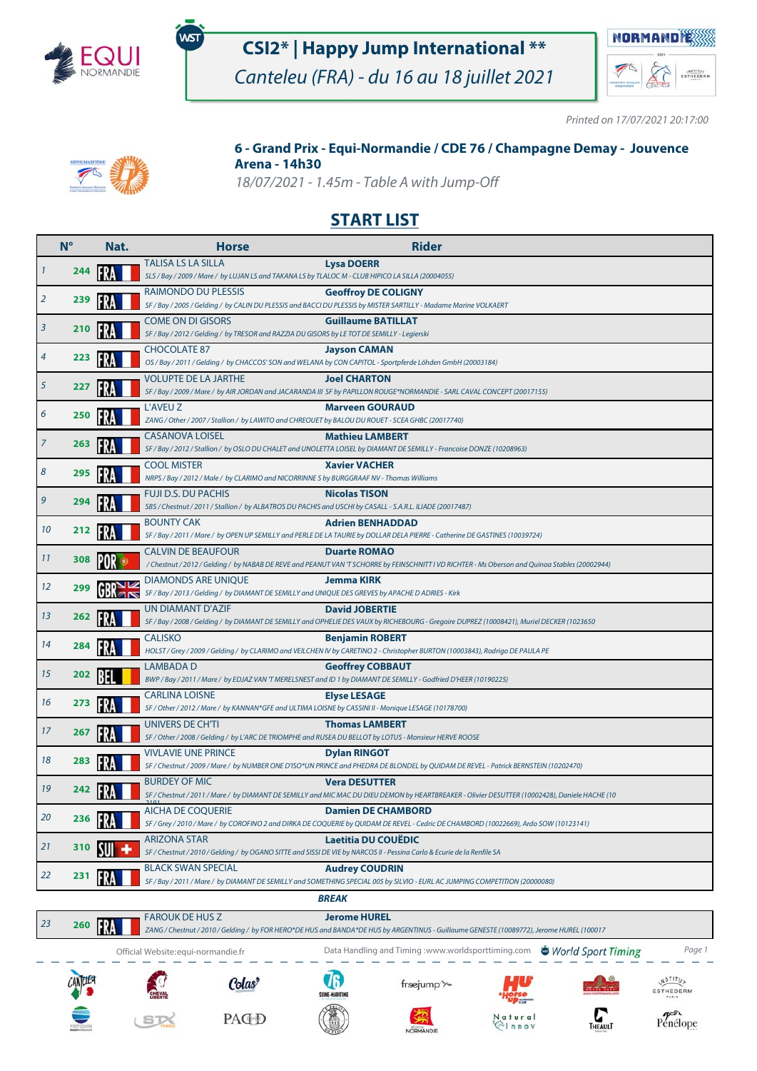

.<br>WST

# **CSI2\* | Happy Jump International \*\***

Canteleu (FRA) - du 16 au 18 juillet 2021



Penélope

 $\sum_{\text{THEAWI}}$ 

Printed on 17/07/2021 20:17:00



### **6 - Grand Prix - Equi-Normandie / CDE 76 / Champagne Demay - Jouvence Arena - 14h30**

18/07/2021 - 1.45m - Table A with Jump-Off

## **START LIST**

|                | $N^{\circ}$ | Nat. | <b>Horse</b>                                                                                                                     | <b>Rider</b>                                                                                                                                                           |
|----------------|-------------|------|----------------------------------------------------------------------------------------------------------------------------------|------------------------------------------------------------------------------------------------------------------------------------------------------------------------|
| $\mathbf{1}$   | 244         |      | <b>TALISA LS LA SILLA</b><br>SLS / Bay / 2009 / Mare / by LUJAN LS and TAKANA LS by TLALOC M - CLUB HIPICO LA SILLA (20004055)   | <b>Lysa DOERR</b>                                                                                                                                                      |
| $\overline{2}$ | 239         |      | RAIMONDO DU PLESSIS                                                                                                              | <b>Geoffroy DE COLIGNY</b><br>SF / Bay / 2005 / Gelding / by CALIN DU PLESSIS and BACCI DU PLESSIS by MISTER SARTILLY - Madame Marine VOLKAERT                         |
| 3              | 210         |      | <b>COME ON DI GISORS</b><br>SF / Bay / 2012 / Gelding / by TRESOR and RAZZIA DU GISORS by LE TOT DE SEMILLY - Legierski          | <b>Guillaume BATILLAT</b>                                                                                                                                              |
| 4              | 223         | FR   | <b>CHOCOLATE 87</b>                                                                                                              | <b>Jayson CAMAN</b><br>OS / Bay / 2011 / Gelding / by CHACCOS' SON and WELANA by CON CAPITOL - Sportpferde Löhden GmbH (20003184)                                      |
| 5              | 227         |      | <b>VOLUPTE DE LA JARTHE</b>                                                                                                      | <b>Joel CHARTON</b><br>SF / Bay / 2009 / Mare / by AIR JORDAN and JACARANDA III SF by PAPILLON ROUGE*NORMANDIE - SARL CAVAL CONCEPT (20017155)                         |
| 6              | 250         |      | L'AVEU Z<br>ZANG / Other / 2007 / Stallion / by LAWITO and CHREOUET by BALOU DU ROUET - SCEA GHBC (20017740)                     | <b>Marveen GOURAUD</b>                                                                                                                                                 |
| $\overline{7}$ | 263         |      | <b>CASANOVA LOISEL</b>                                                                                                           | <b>Mathieu LAMBERT</b><br>SF / Bay / 2012 / Stallion / by OSLO DU CHALET and UNOLETTA LOISEL by DIAMANT DE SEMILLY - Francoise DONZE (10208963)                        |
| 8              | 295         |      | <b>COOL MISTER</b><br>NRPS / Bay / 2012 / Male / by CLARIMO and NICORRINNE S by BURGGRAAF NV - Thomas Williams                   | <b>Xavier VACHER</b>                                                                                                                                                   |
| 9              | 294         |      | FUJI D.S. DU PACHIS<br>SBS / Chestnut / 2011 / Stallion / by ALBATROS DU PACHIS and USCHI by CASALL - S.A.R.L. ILIADE (20017487) | <b>Nicolas TISON</b>                                                                                                                                                   |
| 10             | 212         |      | <b>BOUNTY CAK</b>                                                                                                                | <b>Adrien BENHADDAD</b><br>SF / Bay / 2011 / Mare / by OPEN UP SEMILLY and PERLE DE LA TAURIE by DOLLAR DELA PIERRE - Catherine DE GASTINES (10039724)                 |
| 11             | 308         | IPOR | <b>CALVIN DE BEAUFOUR</b>                                                                                                        | <b>Duarte ROMAO</b><br>/Chestnut / 2012 / Gelding / by NABAB DE REVE and PEANUT VAN 'T SCHORRE by FEINSCHNITT I VD RICHTER - Ms Oberson and Quinoa Stables (20002944)  |
| 12             | 299         |      | DIAMONDS ARE UNIQUE<br>SF / Bay / 2013 / Gelding / by DIAMANT DE SEMILLY and UNIQUE DES GREVES by APACHE D ADRIES - Kirk         | <b>Jemma KIRK</b>                                                                                                                                                      |
| 13             | 262         | FR   | UN DIAMANT D'AZIF                                                                                                                | <b>David JOBERTIE</b><br>SF / Bay / 2008 / Gelding / by DIAMANT DE SEMILLY and OPHELIE DES VAUX by RICHEBOURG - Gregoire DUPREZ (10008421), Muriel DECKER (1023650     |
| 14             | 284         |      | <b>CALISKO</b>                                                                                                                   | <b>Benjamin ROBERT</b><br>HOLST / Grey / 2009 / Gelding / by CLARIMO and VEILCHEN IV by CARETINO 2 - Christopher BURTON (10003843), Rodrigo DE PAULA PE                |
| 15             | 202         |      | <b>LAMBADAD</b>                                                                                                                  | <b>Geoffrey COBBAUT</b><br>BWP / Bay / 2011 / Mare / by EDJAZ VAN 'T MERELSNEST and ID 1 by DIAMANT DE SEMILLY - Godfried D'HEER (10190225)                            |
| 16             | 273         |      | <b>CARLINA LOISNE</b><br>SF / Other / 2012 / Mare / by KANNAN*GFE and ULTIMA LOISNE by CASSINI II - Monique LESAGE (10178700)    | <b>Elyse LESAGE</b>                                                                                                                                                    |
| 17             | 267         |      | UNIVERS DE CH'TI<br>SF / Other / 2008 / Gelding / by L'ARC DE TRIOMPHE and RUSEA DU BELLOT by LOTUS - Monsieur HERVE ROOSE       | <b>Thomas LAMBERT</b>                                                                                                                                                  |
| 18             | 283         |      | <b>VIVLAVIE UNE PRINCE</b>                                                                                                       | <b>Dylan RINGOT</b><br>SF / Chestnut / 2009 / Mare / by NUMBER ONE D'ISO*UN PRINCE and PHEDRA DE BLONDEL by QUIDAM DE REVEL - Patrick BERNSTEIN (10202470)             |
| 19             | 242         |      | <b>BURDEY OF MIC</b>                                                                                                             | <b>Vera DESUTTER</b><br>SF / Chestnut / 2011 / Mare / by DIAMANT DE SEMILLY and MIC MAC DU DIEU DEMON by HEARTBREAKER - Olivier DESUTTER (10002428), Daniele HACHE (10 |
| 20             | 236         |      | <b>AICHA DE COQUERIE</b>                                                                                                         | <b>Damien DE CHAMBORD</b><br>SF / Grey / 2010 / Mare / by COROFINO 2 and DIRKA DE COQUERIE by QUIDAM DE REVEL - Cedric DE CHAMBORD (10022669), Ardo SOW (10123141)     |
| 21             | 310         |      | <b>ARIZONA STAR</b>                                                                                                              | <b>Laetitia DU COUEDIC</b><br>SF / Chestnut / 2010 / Gelding / by OGANO SITTE and SISSI DE VIE by NARCOS II - Pessina Carlo & Ecurie de la Renfile SA                  |
| 22             | 231         |      | <b>BLACK SWAN SPECIAL</b>                                                                                                        | <b>Audrey COUDRIN</b><br>SF / Bay / 2011 / Mare / by DIAMANT DE SEMILLY and SOMETHING SPECIAL 005 by SILVIO - EURL AC JUMPING COMPETITION (20000080)                   |
|                |             |      |                                                                                                                                  | <b>BREAK</b>                                                                                                                                                           |



PAC<sub>D</sub>

ST